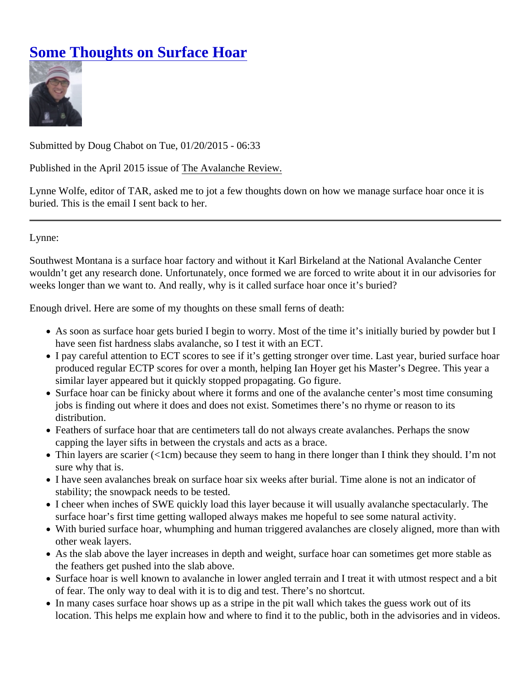## [Some Thoughts on Surface Hoa](https://www.mtavalanche.com/blog/some-thoughts-surface-hoar)r

Submitted by Doug Chabot on Tue, 01/20/2015 - 06:33

Published in the April 2015 issue **The Avalanche Review.** 

Lynne Wolfe, editor of TAR, asked me to jot a few thoughts down on how we manage surface hoar once it is buried. This is the email I sent back to her.

Lynne:

Southwest Montana is a surface hoar factory and without it Karl Birkeland at the National Avalanche Center wouldn't get any research done. Unfortunately, once formed we are forced to write about it in our advisories f weeks longer than we want to. And really, why is it called surface hoar once it's buried?

Enough drivel. Here are some of my thoughts on these small ferns of death:

- As soon as surface hoar gets buried I begin to worry. Most of the time it's initially buried by powder but I have seen fist hardness slabs avalanche, so I test it with an ECT.
- I pay careful attention to ECT scores to see if it's getting stronger over time. Last year, buried surface he produced regular ECTP scores for over a month, helping Ian Hoyer get his Master's Degree. This year a similar layer appeared but it quickly stopped propagating. Go figure.
- Surface hoar can be finicky about where it forms and one of the avalanche center's most time consuming jobs is finding out where it does and does not exist. Sometimes there's no rhyme or reason to its distribution.
- Feathers of surface hoar that are centimeters tall do not always create avalanches. Perhaps the snow capping the layer sifts in between the crystals and acts as a brace.
- Thin layers are scarier (<1cm) because they seem to hang in there longer than I think they should. I'm r sure why that is.
- I have seen avalanches break on surface hoar six weeks after burial. Time alone is not an indicator of stability; the snowpack needs to be tested.
- I cheer when inches of SWE quickly load this layer because it will usually avalanche spectacularly. The surface hoar's first time getting walloped always makes me hopeful to see some natural activity.
- With buried surface hoar, whumphing and human triggered avalanches are closely aligned, more than w other weak layers.
- As the slab above the layer increases in depth and weight, surface hoar can sometimes get more stable the feathers get pushed into the slab above.
- Surface hoar is well known to avalanche in lower angled terrain and I treat it with utmost respect and a l of fear. The only way to deal with it is to dig and test. There's no shortcut.
- In many cases surface hoar shows up as a stripe in the pit wall which takes the guess work out of its location. This helps me explain how and where to find it to the public, both in the advisories and in vided